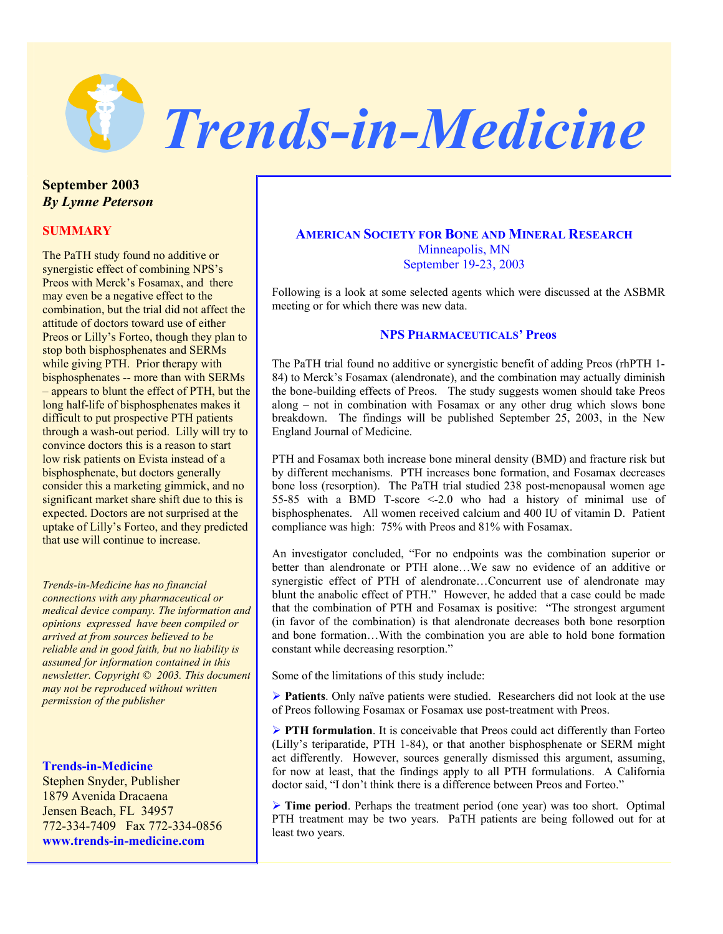

**September 2003**  *By Lynne Peterson*

## **SUMMARY**

The PaTH study found no additive or synergistic effect of combining NPS's Preos with Merck's Fosamax, and there may even be a negative effect to the combination, but the trial did not affect the attitude of doctors toward use of either Preos or Lilly's Forteo, though they plan to stop both bisphosphenates and SERMs while giving PTH. Prior therapy with bisphosphenates -- more than with SERMs – appears to blunt the effect of PTH, but the long half-life of bisphosphenates makes it difficult to put prospective PTH patients through a wash-out period. Lilly will try to convince doctors this is a reason to start low risk patients on Evista instead of a bisphosphenate, but doctors generally consider this a marketing gimmick, and no significant market share shift due to this is expected. Doctors are not surprised at the uptake of Lilly's Forteo, and they predicted that use will continue to increase.

*Trends-in-Medicine has no financial connections with any pharmaceutical or medical device company. The information and opinions expressed have been compiled or arrived at from sources believed to be reliable and in good faith, but no liability is assumed for information contained in this newsletter. Copyright © 2003. This document may not be reproduced without written permission of the publisher* 

#### **Trends-in-Medicine**

Stephen Snyder, Publisher 1879 Avenida Dracaena Jensen Beach, FL 34957 772-334-7409 Fax 772-334-0856 **www.trends-in-medicine.com**

# **AMERICAN SOCIETY FOR BONE AND MINERAL RESEARCH** Minneapolis, MN September 19-23, 2003

Following is a look at some selected agents which were discussed at the ASBMR meeting or for which there was new data.

#### **NPS PHARMACEUTICALS' Preos**

The PaTH trial found no additive or synergistic benefit of adding Preos (rhPTH 1- 84) to Merck's Fosamax (alendronate), and the combination may actually diminish the bone-building effects of Preos. The study suggests women should take Preos along – not in combination with Fosamax or any other drug which slows bone breakdown. The findings will be published September 25, 2003, in the New England Journal of Medicine.

PTH and Fosamax both increase bone mineral density (BMD) and fracture risk but by different mechanisms. PTH increases bone formation, and Fosamax decreases bone loss (resorption). The PaTH trial studied 238 post-menopausal women age 55-85 with a BMD T-score <-2.0 who had a history of minimal use of bisphosphenates. All women received calcium and 400 IU of vitamin D. Patient compliance was high: 75% with Preos and 81% with Fosamax.

An investigator concluded, "For no endpoints was the combination superior or better than alendronate or PTH alone…We saw no evidence of an additive or synergistic effect of PTH of alendronate…Concurrent use of alendronate may blunt the anabolic effect of PTH." However, he added that a case could be made that the combination of PTH and Fosamax is positive: "The strongest argument (in favor of the combination) is that alendronate decreases both bone resorption and bone formation…With the combination you are able to hold bone formation constant while decreasing resorption."

Some of the limitations of this study include:

¾ **Patients**. Only naïve patients were studied. Researchers did not look at the use of Preos following Fosamax or Fosamax use post-treatment with Preos.

**► PTH formulation**. It is conceivable that Preos could act differently than Forteo (Lilly's teriparatide, PTH 1-84), or that another bisphosphenate or SERM might act differently. However, sources generally dismissed this argument, assuming, for now at least, that the findings apply to all PTH formulations. A California doctor said, "I don't think there is a difference between Preos and Forteo."

¾ **Time period**. Perhaps the treatment period (one year) was too short. Optimal PTH treatment may be two years. PaTH patients are being followed out for at least two years.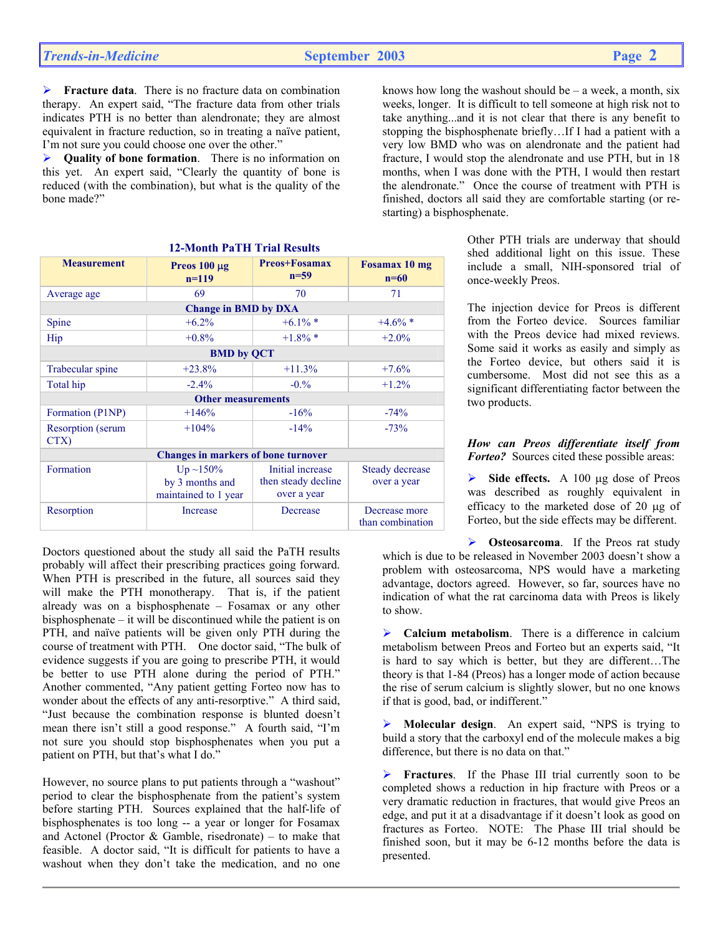¾ **Fracture data**. There is no fracture data on combination therapy. An expert said, "The fracture data from other trials indicates PTH is no better than alendronate; they are almost equivalent in fracture reduction, so in treating a naïve patient, I'm not sure you could choose one over the other."

¾ **Quality of bone formation**. There is no information on this yet. An expert said, "Clearly the quantity of bone is reduced (with the combination), but what is the quality of the bone made?"

| <b>12-Month PaTH Trial Results</b>         |                                                        |                                                        |                                   |  |
|--------------------------------------------|--------------------------------------------------------|--------------------------------------------------------|-----------------------------------|--|
| <b>Measurement</b>                         | Preos $100 \mu g$<br>$n=119$                           | <b>Preos+Fosamax</b><br>$n=59$                         | Fosamax 10 mg<br>$n=60$           |  |
| Average age                                | 69                                                     | 70                                                     | 71                                |  |
| <b>Change in BMD by DXA</b>                |                                                        |                                                        |                                   |  |
| Spine                                      | $+6.2\%$                                               | $+6.1\%$ *                                             | $+4.6\%$ *                        |  |
| Hip                                        | $+0.8%$                                                | $+1.8\%$ *                                             | $+2.0%$                           |  |
| <b>BMD</b> by QCT                          |                                                        |                                                        |                                   |  |
| Trabecular spine                           | $+23.8%$                                               | $+11.3%$                                               | $+7.6%$                           |  |
| Total hip                                  | $-2.4\%$                                               | $-0.96$                                                | $+1.2%$                           |  |
| <b>Other measurements</b>                  |                                                        |                                                        |                                   |  |
| Formation (P1NP)                           | $+146%$                                                | $-16%$                                                 | $-74%$                            |  |
| <b>Resorption</b> (serum)<br>CTX)          | $+104%$                                                | $-14%$                                                 | $-73%$                            |  |
| <b>Changes in markers of bone turnover</b> |                                                        |                                                        |                                   |  |
| Formation                                  | $Up ~150\%$<br>by 3 months and<br>maintained to 1 year | Initial increase<br>then steady decline<br>over a year | Steady decrease<br>over a year    |  |
| Resorption                                 | Increase                                               | Decrease                                               | Decrease more<br>than combination |  |

Doctors questioned about the study all said the PaTH results probably will affect their prescribing practices going forward. When PTH is prescribed in the future, all sources said they will make the PTH monotherapy. That is, if the patient already was on a bisphosphenate – Fosamax or any other bisphosphenate – it will be discontinued while the patient is on PTH, and naïve patients will be given only PTH during the course of treatment with PTH. One doctor said, "The bulk of evidence suggests if you are going to prescribe PTH, it would be better to use PTH alone during the period of PTH." Another commented, "Any patient getting Forteo now has to wonder about the effects of any anti-resorptive." A third said, "Just because the combination response is blunted doesn't mean there isn't still a good response." A fourth said, "I'm not sure you should stop bisphosphenates when you put a patient on PTH, but that's what I do."

However, no source plans to put patients through a "washout" period to clear the bisphosphenate from the patient's system before starting PTH. Sources explained that the half-life of bisphosphenates is too long -- a year or longer for Fosamax and Actonel (Proctor  $&$  Gamble, risedronate) – to make that feasible. A doctor said, "It is difficult for patients to have a washout when they don't take the medication, and no one knows how long the washout should be  $-$  a week, a month, six weeks, longer. It is difficult to tell someone at high risk not to take anything...and it is not clear that there is any benefit to stopping the bisphosphenate briefly…If I had a patient with a very low BMD who was on alendronate and the patient had fracture, I would stop the alendronate and use PTH, but in 18 months, when I was done with the PTH, I would then restart the alendronate." Once the course of treatment with PTH is finished, doctors all said they are comfortable starting (or restarting) a bisphosphenate.

> Other PTH trials are underway that should shed additional light on this issue. These include a small, NIH-sponsored trial of once-weekly Preos.

> The injection device for Preos is different from the Forteo device. Sources familiar with the Preos device had mixed reviews. Some said it works as easily and simply as the Forteo device, but others said it is cumbersome. Most did not see this as a significant differentiating factor between the two products.

> *How can Preos differentiate itself from Forteo?* Sources cited these possible areas:

> ¾ **Side effects.** A 100 µg dose of Preos was described as roughly equivalent in efficacy to the marketed dose of 20 µg of Forteo, but the side effects may be different.

¾ **Osteosarcoma**. If the Preos rat study which is due to be released in November 2003 doesn't show a problem with osteosarcoma, NPS would have a marketing advantage, doctors agreed. However, so far, sources have no indication of what the rat carcinoma data with Preos is likely to show.

¾ **Calcium metabolism**. There is a difference in calcium metabolism between Preos and Forteo but an experts said, "It is hard to say which is better, but they are different…The theory is that 1-84 (Preos) has a longer mode of action because the rise of serum calcium is slightly slower, but no one knows if that is good, bad, or indifferent."

¾ **Molecular design**. An expert said, "NPS is trying to build a story that the carboxyl end of the molecule makes a big difference, but there is no data on that."

Fractures. If the Phase III trial currently soon to be completed shows a reduction in hip fracture with Preos or a very dramatic reduction in fractures, that would give Preos an edge, and put it at a disadvantage if it doesn't look as good on fractures as Forteo. NOTE: The Phase III trial should be finished soon, but it may be 6-12 months before the data is presented.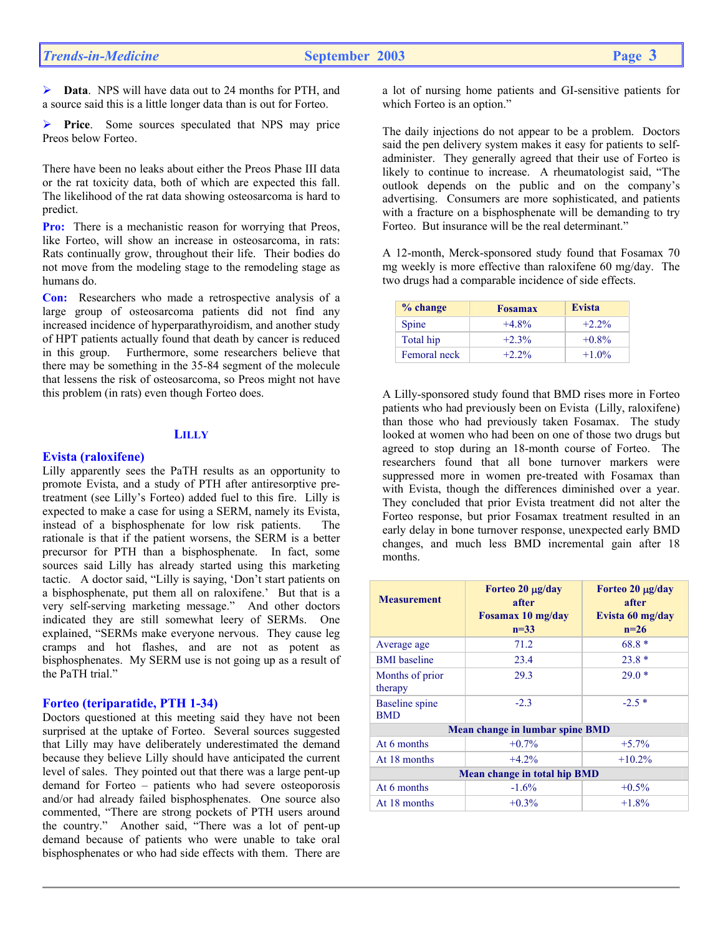¾ **Data**. NPS will have data out to 24 months for PTH, and a source said this is a little longer data than is out for Forteo.

Price. Some sources speculated that NPS may price Preos below Forteo.

There have been no leaks about either the Preos Phase III data or the rat toxicity data, both of which are expected this fall. The likelihood of the rat data showing osteosarcoma is hard to predict.

**Pro:** There is a mechanistic reason for worrying that Preos, like Forteo, will show an increase in osteosarcoma, in rats: Rats continually grow, throughout their life. Their bodies do not move from the modeling stage to the remodeling stage as humans do.

**Con:** Researchers who made a retrospective analysis of a large group of osteosarcoma patients did not find any increased incidence of hyperparathyroidism, and another study of HPT patients actually found that death by cancer is reduced in this group. Furthermore, some researchers believe that there may be something in the 35-84 segment of the molecule that lessens the risk of osteosarcoma, so Preos might not have this problem (in rats) even though Forteo does.

# **LILLY**

#### **Evista (raloxifene)**

Lilly apparently sees the PaTH results as an opportunity to promote Evista, and a study of PTH after antiresorptive pretreatment (see Lilly's Forteo) added fuel to this fire. Lilly is expected to make a case for using a SERM, namely its Evista, instead of a bisphosphenate for low risk patients. The rationale is that if the patient worsens, the SERM is a better precursor for PTH than a bisphosphenate. In fact, some sources said Lilly has already started using this marketing tactic. A doctor said, "Lilly is saying, 'Don't start patients on a bisphosphenate, put them all on raloxifene.' But that is a very self-serving marketing message." And other doctors indicated they are still somewhat leery of SERMs. One explained, "SERMs make everyone nervous. They cause leg cramps and hot flashes, and are not as potent as bisphosphenates. My SERM use is not going up as a result of the PaTH trial."

#### **Forteo (teriparatide, PTH 1-34)**

Doctors questioned at this meeting said they have not been surprised at the uptake of Forteo. Several sources suggested that Lilly may have deliberately underestimated the demand because they believe Lilly should have anticipated the current level of sales. They pointed out that there was a large pent-up demand for Forteo – patients who had severe osteoporosis and/or had already failed bisphosphenates. One source also commented, "There are strong pockets of PTH users around the country." Another said, "There was a lot of pent-up demand because of patients who were unable to take oral bisphosphenates or who had side effects with them. There are

a lot of nursing home patients and GI-sensitive patients for which Forteo is an option."

The daily injections do not appear to be a problem. Doctors said the pen delivery system makes it easy for patients to selfadminister. They generally agreed that their use of Forteo is likely to continue to increase. A rheumatologist said, "The outlook depends on the public and on the company's advertising. Consumers are more sophisticated, and patients with a fracture on a bisphosphenate will be demanding to try Forteo. But insurance will be the real determinant."

A 12-month, Merck-sponsored study found that Fosamax 70 mg weekly is more effective than raloxifene 60 mg/day. The two drugs had a comparable incidence of side effects.

| % change     | <b>Fosamax</b> | <b>Evista</b> |
|--------------|----------------|---------------|
| Spine        | $+4.8\%$       | $+2.2\%$      |
| Total hip    | $+2.3%$        | $+0.8\%$      |
| Femoral neck | $+2.2\%$       | $+1.0\%$      |

A Lilly-sponsored study found that BMD rises more in Forteo patients who had previously been on Evista (Lilly, raloxifene) than those who had previously taken Fosamax. The study looked at women who had been on one of those two drugs but agreed to stop during an 18-month course of Forteo. The researchers found that all bone turnover markers were suppressed more in women pre-treated with Fosamax than with Evista, though the differences diminished over a year. They concluded that prior Evista treatment did not alter the Forteo response, but prior Fosamax treatment resulted in an early delay in bone turnover response, unexpected early BMD changes, and much less BMD incremental gain after 18 months.

| <b>Measurement</b>                  | Forteo $20 \mu g/day$<br>after<br>Fosamax 10 mg/day<br>$n=33$ | Forteo $20 \mu g/day$<br>after<br>Evista 60 mg/day<br>$n=26$ |  |  |
|-------------------------------------|---------------------------------------------------------------|--------------------------------------------------------------|--|--|
| Average age                         | 71.2                                                          | $68.8*$                                                      |  |  |
| <b>BMI</b> baseline                 | 23.4                                                          | $23.8*$                                                      |  |  |
| Months of prior<br>therapy          | 29.3                                                          | $29.0*$                                                      |  |  |
| <b>Baseline</b> spine<br><b>BMD</b> | $-2.3$                                                        | $-2.5*$                                                      |  |  |
| Mean change in lumbar spine BMD     |                                                               |                                                              |  |  |
| At 6 months                         | $+0.7%$                                                       | $+5.7%$                                                      |  |  |
| At 18 months                        | $+4.2%$                                                       | $+10.2%$                                                     |  |  |
| Mean change in total hip BMD        |                                                               |                                                              |  |  |
| At 6 months                         | $-1.6\%$                                                      | $+0.5\%$                                                     |  |  |
| At 18 months                        | $+0.3%$                                                       | $+1.8%$                                                      |  |  |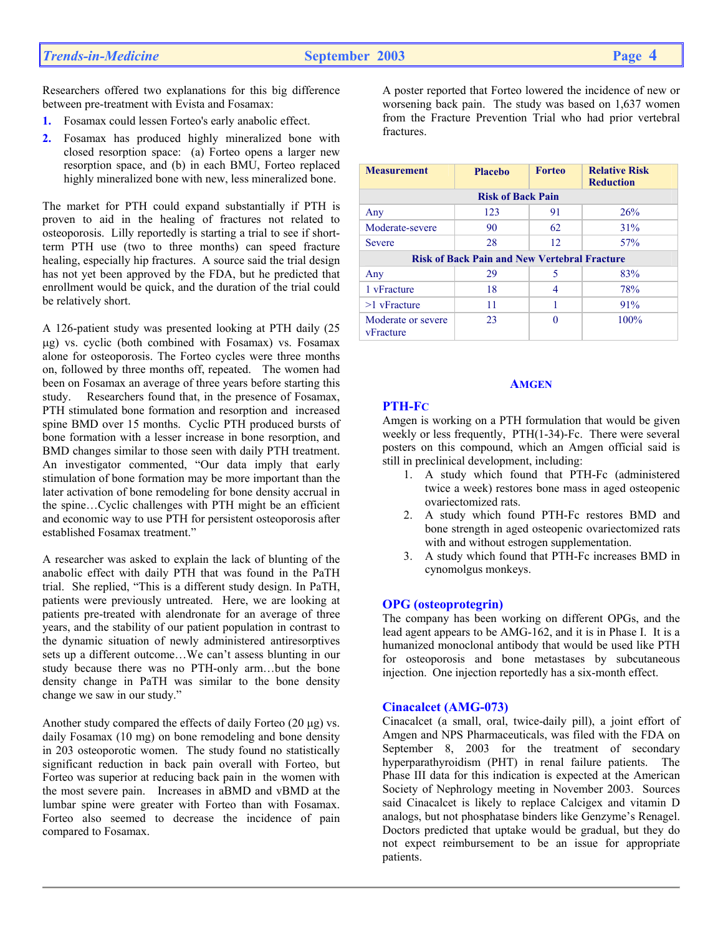Researchers offered two explanations for this big difference between pre-treatment with Evista and Fosamax:

- **1.** Fosamax could lessen Forteo's early anabolic effect.
- **2.** Fosamax has produced highly mineralized bone with closed resorption space: (a) Forteo opens a larger new resorption space, and (b) in each BMU, Forteo replaced highly mineralized bone with new, less mineralized bone.

The market for PTH could expand substantially if PTH is proven to aid in the healing of fractures not related to osteoporosis. Lilly reportedly is starting a trial to see if shortterm PTH use (two to three months) can speed fracture healing, especially hip fractures. A source said the trial design has not yet been approved by the FDA, but he predicted that enrollment would be quick, and the duration of the trial could be relatively short.

A 126-patient study was presented looking at PTH daily (25 µg) vs. cyclic (both combined with Fosamax) vs. Fosamax alone for osteoporosis. The Forteo cycles were three months on, followed by three months off, repeated. The women had been on Fosamax an average of three years before starting this study. Researchers found that, in the presence of Fosamax, PTH stimulated bone formation and resorption and increased spine BMD over 15 months. Cyclic PTH produced bursts of bone formation with a lesser increase in bone resorption, and BMD changes similar to those seen with daily PTH treatment. An investigator commented, "Our data imply that early stimulation of bone formation may be more important than the later activation of bone remodeling for bone density accrual in the spine…Cyclic challenges with PTH might be an efficient and economic way to use PTH for persistent osteoporosis after established Fosamax treatment."

A researcher was asked to explain the lack of blunting of the anabolic effect with daily PTH that was found in the PaTH trial. She replied, "This is a different study design. In PaTH, patients were previously untreated. Here, we are looking at patients pre-treated with alendronate for an average of three years, and the stability of our patient population in contrast to the dynamic situation of newly administered antiresorptives sets up a different outcome…We can't assess blunting in our study because there was no PTH-only arm…but the bone density change in PaTH was similar to the bone density change we saw in our study."

Another study compared the effects of daily Forteo  $(20 \mu g)$  vs. daily Fosamax (10 mg) on bone remodeling and bone density in 203 osteoporotic women. The study found no statistically significant reduction in back pain overall with Forteo, but Forteo was superior at reducing back pain in the women with the most severe pain. Increases in aBMD and vBMD at the lumbar spine were greater with Forteo than with Fosamax. Forteo also seemed to decrease the incidence of pain compared to Fosamax.

A poster reported that Forteo lowered the incidence of new or worsening back pain. The study was based on 1,637 women from the Fracture Prevention Trial who had prior vertebral fractures.

## **Measurement** Placebo Forteo Relative Risk **Reduction Risk of Back Pain**  Any 123 91 26% Moderate-severe 90 62 31% Severe 28 12 57% **Risk of Back Pain and New Vertebral Fracture**  Any 29 5 83% 1 vFracture 18 18 4 78%  $>1$  vFracture  $11$  1 1 91% Moderate or severe vFracture 23 0 100<sup>%</sup>

## **AMGEN**

#### **PTH-FC**

Amgen is working on a PTH formulation that would be given weekly or less frequently, PTH(1-34)-Fc. There were several posters on this compound, which an Amgen official said is still in preclinical development, including:

- 1. A study which found that PTH-Fc (administered twice a week) restores bone mass in aged osteopenic ovariectomized rats.
- 2. A study which found PTH-Fc restores BMD and bone strength in aged osteopenic ovariectomized rats with and without estrogen supplementation.
- 3. A study which found that PTH-Fc increases BMD in cynomolgus monkeys.

## **OPG (osteoprotegrin)**

The company has been working on different OPGs, and the lead agent appears to be AMG-162, and it is in Phase I. It is a humanized monoclonal antibody that would be used like PTH for osteoporosis and bone metastases by subcutaneous injection. One injection reportedly has a six-month effect.

## **Cinacalcet (AMG-073)**

Cinacalcet (a small, oral, twice-daily pill), a joint effort of Amgen and NPS Pharmaceuticals, was filed with the FDA on September 8, 2003 for the treatment of secondary hyperparathyroidism (PHT) in renal failure patients. The Phase III data for this indication is expected at the American Society of Nephrology meeting in November 2003. Sources said Cinacalcet is likely to replace Calcigex and vitamin D analogs, but not phosphatase binders like Genzyme's Renagel. Doctors predicted that uptake would be gradual, but they do not expect reimbursement to be an issue for appropriate patients.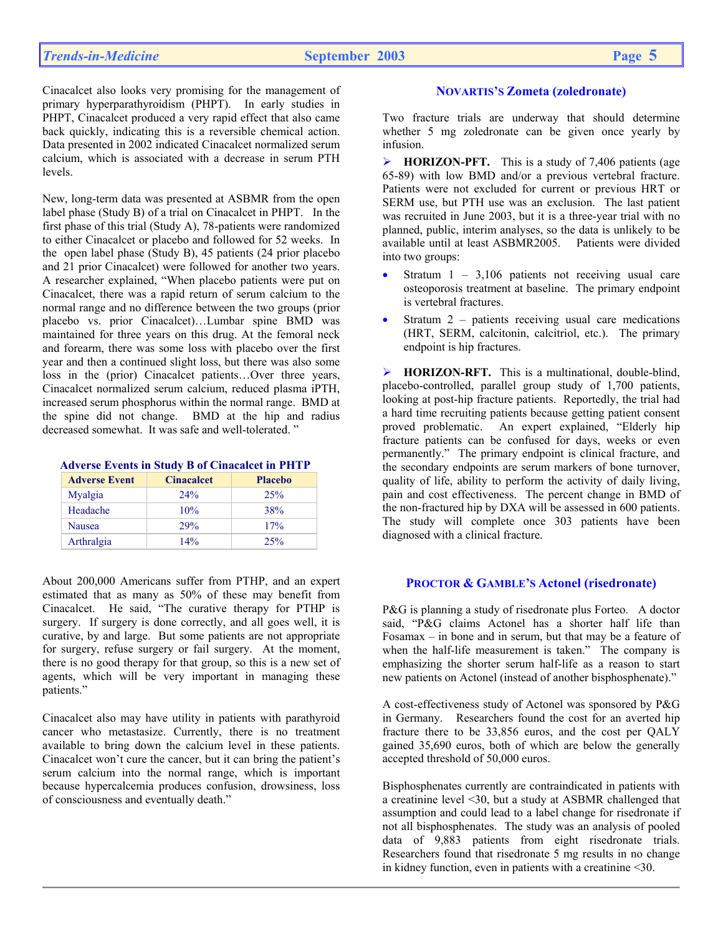Cinacalcet also looks very promising for the management of primary hyperparathyroidism (PHPT). In early studies in PHPT, Cinacalcet produced a very rapid effect that also came back quickly, indicating this is a reversible chemical action. Data presented in 2002 indicated Cinacalcet normalized serum calcium, which is associated with a decrease in serum PTH levels.

New, long-term data was presented at ASBMR from the open label phase (Study B) of a trial on Cinacalcet in PHPT. In the first phase of this trial (Study A), 78-patients were randomized to either Cinacalcet or placebo and followed for 52 weeks. In the open label phase (Study B), 45 patients (24 prior placebo and 21 prior Cinacalcet) were followed for another two years. A researcher explained, "When placebo patients were put on Cinacalcet, there was a rapid return of serum calcium to the normal range and no difference between the two groups (prior placebo vs. prior Cinacalcet)…Lumbar spine BMD was maintained for three years on this drug. At the femoral neck and forearm, there was some loss with placebo over the first year and then a continued slight loss, but there was also some loss in the (prior) Cinacalcet patients…Over three years, Cinacalcet normalized serum calcium, reduced plasma iPTH, increased serum phosphorus within the normal range. BMD at the spine did not change. BMD at the hip and radius decreased somewhat. It was safe and well-tolerated. "

| <b>Adverse Events in Study B of Cinacalcet in PHTP</b> |  |
|--------------------------------------------------------|--|
|--------------------------------------------------------|--|

| <b>Adverse Event</b> | <b>Cinacalcet</b> | <b>Placebo</b> |
|----------------------|-------------------|----------------|
| <b>Myalgia</b>       | $2.4\%$           | 25%            |
| Headache             | 10%               | 38%            |
| Nausea               | 29%               | 17%            |
| Arthralgia           | 14%               | 25%            |

About 200,000 Americans suffer from PTHP, and an expert estimated that as many as 50% of these may benefit from Cinacalcet. He said, "The curative therapy for PTHP is surgery. If surgery is done correctly, and all goes well, it is curative, by and large. But some patients are not appropriate for surgery, refuse surgery or fail surgery. At the moment, there is no good therapy for that group, so this is a new set of agents, which will be very important in managing these patients."

Cinacalcet also may have utility in patients with parathyroid cancer who metastasize. Currently, there is no treatment available to bring down the calcium level in these patients. Cinacalcet won't cure the cancer, but it can bring the patient's serum calcium into the normal range, which is important because hypercalcemia produces confusion, drowsiness, loss of consciousness and eventually death."

## **NOVARTIS'S Zometa (zoledronate)**

Two fracture trials are underway that should determine whether 5 mg zoledronate can be given once yearly by infusion.

¾ **HORIZON-PFT.** This is a study of 7,406 patients (age 65-89) with low BMD and/or a previous vertebral fracture. Patients were not excluded for current or previous HRT or SERM use, but PTH use was an exclusion. The last patient was recruited in June 2003, but it is a three-year trial with no planned, public, interim analyses, so the data is unlikely to be available until at least ASBMR2005. Patients were divided into two groups:

- Stratum  $1 3,106$  patients not receiving usual care osteoporosis treatment at baseline. The primary endpoint is vertebral fractures.
- Stratum  $2$  patients receiving usual care medications (HRT, SERM, calcitonin, calcitriol, etc.). The primary endpoint is hip fractures.

¾ **HORIZON-RFT.** This is a multinational, double-blind, placebo-controlled, parallel group study of 1,700 patients, looking at post-hip fracture patients. Reportedly, the trial had a hard time recruiting patients because getting patient consent proved problematic. An expert explained, "Elderly hip fracture patients can be confused for days, weeks or even permanently." The primary endpoint is clinical fracture, and the secondary endpoints are serum markers of bone turnover, quality of life, ability to perform the activity of daily living, pain and cost effectiveness. The percent change in BMD of the non-fractured hip by DXA will be assessed in 600 patients. The study will complete once 303 patients have been diagnosed with a clinical fracture.

#### **PROCTOR & GAMBLE'S Actonel (risedronate)**

P&G is planning a study of risedronate plus Forteo. A doctor said, "P&G claims Actonel has a shorter half life than Fosamax – in bone and in serum, but that may be a feature of when the half-life measurement is taken." The company is emphasizing the shorter serum half-life as a reason to start new patients on Actonel (instead of another bisphosphenate)."

A cost-effectiveness study of Actonel was sponsored by P&G in Germany. Researchers found the cost for an averted hip fracture there to be 33,856 euros, and the cost per QALY gained 35,690 euros, both of which are below the generally accepted threshold of 50,000 euros.

Bisphosphenates currently are contraindicated in patients with a creatinine level <30, but a study at ASBMR challenged that assumption and could lead to a label change for risedronate if not all bisphosphenates. The study was an analysis of pooled data of 9,883 patients from eight risedronate trials. Researchers found that risedronate 5 mg results in no change in kidney function, even in patients with a creatinine <30.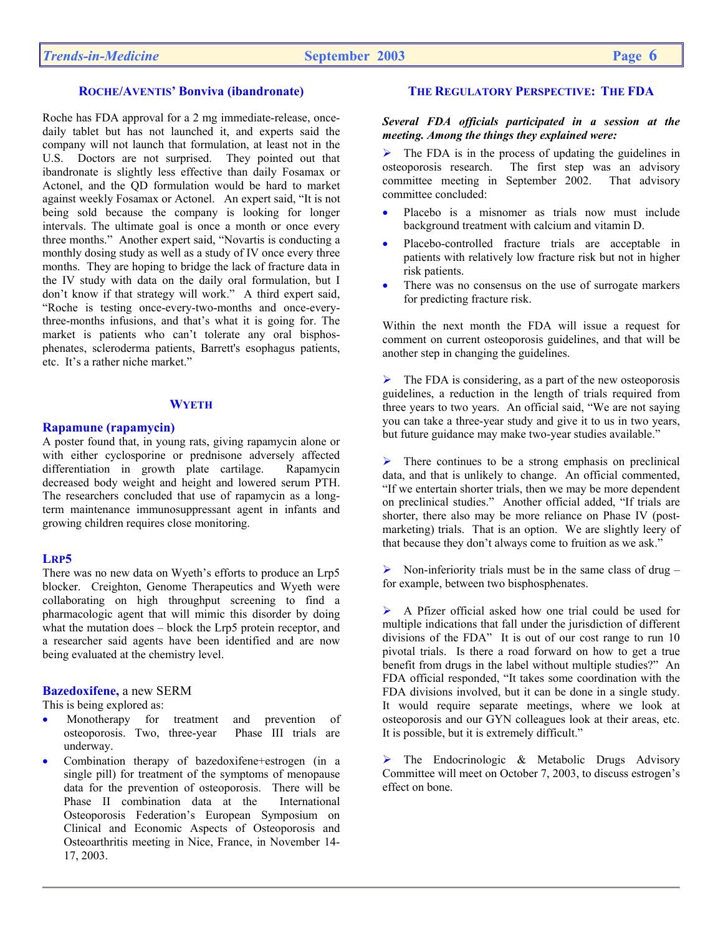## **ROCHE/AVENTIS' Bonviva (ibandronate)**

Roche has FDA approval for a 2 mg immediate-release, oncedaily tablet but has not launched it, and experts said the company will not launch that formulation, at least not in the U.S. Doctors are not surprised. They pointed out that ibandronate is slightly less effective than daily Fosamax or Actonel, and the QD formulation would be hard to market against weekly Fosamax or Actonel. An expert said, "It is not being sold because the company is looking for longer intervals. The ultimate goal is once a month or once every three months." Another expert said, "Novartis is conducting a monthly dosing study as well as a study of IV once every three months. They are hoping to bridge the lack of fracture data in the IV study with data on the daily oral formulation, but I don't know if that strategy will work." A third expert said, "Roche is testing once-every-two-months and once-everythree-months infusions, and that's what it is going for. The market is patients who can't tolerate any oral bisphosphenates, scleroderma patients, Barrett's esophagus patients, etc. It's a rather niche market."

#### **WYETH**

#### **Rapamune (rapamycin)**

A poster found that, in young rats, giving rapamycin alone or with either cyclosporine or prednisone adversely affected differentiation in growth plate cartilage. Rapamycin decreased body weight and height and lowered serum PTH. The researchers concluded that use of rapamycin as a longterm maintenance immunosuppressant agent in infants and growing children requires close monitoring.

#### **LRP5**

There was no new data on Wyeth's efforts to produce an Lrp5 blocker. Creighton, Genome Therapeutics and Wyeth were collaborating on high throughput screening to find a pharmacologic agent that will mimic this disorder by doing what the mutation does – block the Lrp5 protein receptor, and a researcher said agents have been identified and are now being evaluated at the chemistry level.

## **Bazedoxifene,** a new SERM

This is being explored as:

- Monotherapy for treatment and prevention of osteoporosis. Two, three-year Phase III trials are underway.
- Combination therapy of bazedoxifene+estrogen (in a single pill) for treatment of the symptoms of menopause data for the prevention of osteoporosis. There will be Phase II combination data at the International Osteoporosis Federation's European Symposium on Clinical and Economic Aspects of Osteoporosis and Osteoarthritis meeting in Nice, France, in November 14- 17, 2003.

## **THE REGULATORY PERSPECTIVE: THE FDA**

#### *Several FDA officials participated in a session at the meeting. Among the things they explained were:*

 $\triangleright$  The FDA is in the process of updating the guidelines in osteoporosis research. The first step was an advisory committee meeting in September 2002. That advisory committee concluded:

- Placebo is a misnomer as trials now must include background treatment with calcium and vitamin D.
- Placebo-controlled fracture trials are acceptable in patients with relatively low fracture risk but not in higher risk patients.
- There was no consensus on the use of surrogate markers for predicting fracture risk.

Within the next month the FDA will issue a request for comment on current osteoporosis guidelines, and that will be another step in changing the guidelines.

 $\triangleright$  The FDA is considering, as a part of the new osteoporosis guidelines, a reduction in the length of trials required from three years to two years. An official said, "We are not saying you can take a three-year study and give it to us in two years, but future guidance may make two-year studies available."

 $\triangleright$  There continues to be a strong emphasis on preclinical data, and that is unlikely to change.An official commented, "If we entertain shorter trials, then we may be more dependent on preclinical studies." Another official added, "If trials are shorter, there also may be more reliance on Phase IV (postmarketing) trials. That is an option. We are slightly leery of that because they don't always come to fruition as we ask."

Non-inferiority trials must be in the same class of drug  $$ for example, between two bisphosphenates.

¾ A Pfizer official asked how one trial could be used for multiple indications that fall under the jurisdiction of different divisions of the FDA" It is out of our cost range to run 10 pivotal trials. Is there a road forward on how to get a true benefit from drugs in the label without multiple studies?" An FDA official responded, "It takes some coordination with the FDA divisions involved, but it can be done in a single study. It would require separate meetings, where we look at osteoporosis and our GYN colleagues look at their areas, etc. It is possible, but it is extremely difficult."

 $\triangleright$  The Endocrinologic & Metabolic Drugs Advisory Committee will meet on October 7, 2003, to discuss estrogen's effect on bone.